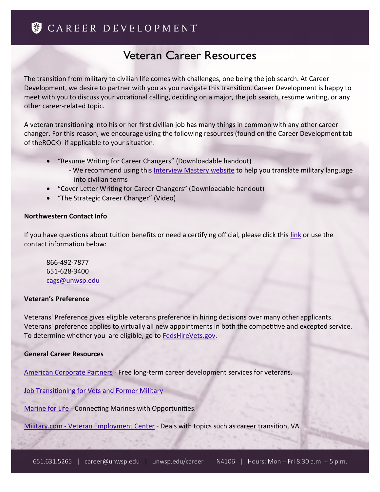# Veteran Career Resources

The transition from military to civilian life comes with challenges, one being the job search. At Career Development, we desire to partner with you as you navigate this transition. Career Development is happy to meet with you to discuss your vocational calling, deciding on a major, the job search, resume writing, or any other career-related topic.

A veteran transitioning into his or her first civilian job has many things in common with any other career changer. For this reason, we encourage using the following resources (found on the Career Development tab of theROCK) if applicable to your situation:

- "Resume Writing for Career Changers" (Downloadable handout)
	- We recommend using this [Interview Mastery website](https://www.interviewmastery.com/newsletters.cfm?action=newsletters_details&newsletterID=120704) to help you translate military language into civilian terms
- "Cover Letter Writing for Career Changers" (Downloadable handout)
- "The Strategic Career Changer" (Video)

## **Northwestern Contact Info**

If you have questions about tuition benefits or need a certifying official, please click this [link](https://www.unwsp.edu/web/campus-services/military-veteran-services) or use the contact information below:

866-492-7877 651-628-3400 [cags@unwsp.edu](mailto:cags@unwsp.edu)

## **Veteran's Preference**

Veterans' Preference gives eligible veterans preference in hiring decisions over many other applicants. Veterans' preference applies to virtually all new appointments in both the competitive and excepted service. To determine whether you are eligible, go to [FedsHireVets.gov.](http://www.fedshirevets.gov/job/vetpref/index.aspx)

## **General Career Resources**

[American Corporate Partners](http://www.acp-usa.org/) - Free long-term career development services for veterans.

[Job Transitioning for Vets and Former Military](http://www.quintcareers.com/former_military.html)

[Marine for Life](http://www.marineforlife.org/) - Connecting Marines with Opportunities.

Military.com - [Veteran Employment Center](http://www.military.com/veteran-jobs) - Deals with topics such as career transition, VA